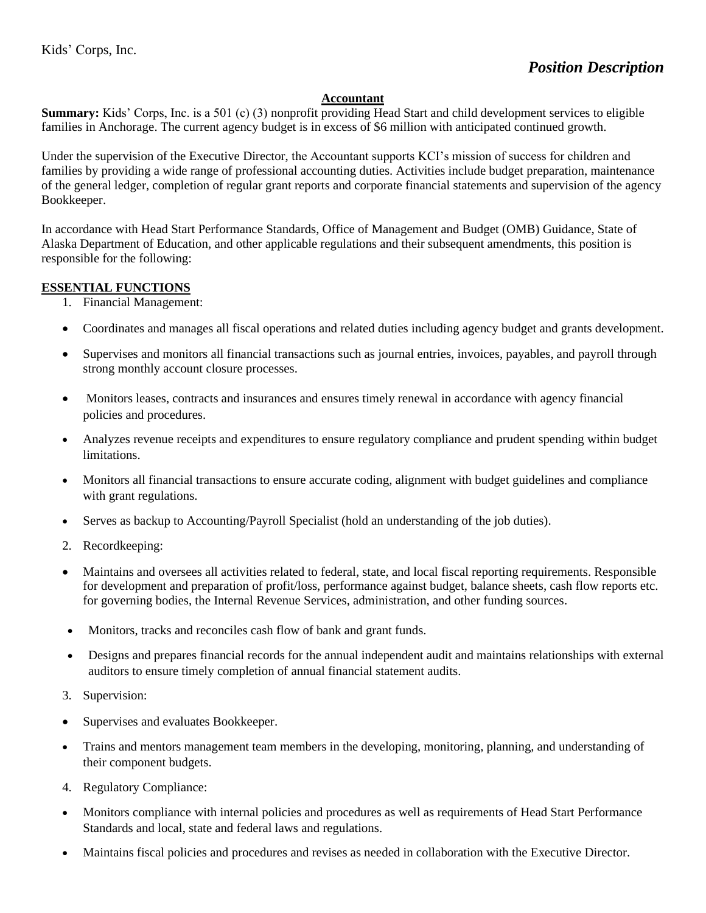#### **Accountant**

**Summary:** Kids' Corps, Inc. is a 501 (c) (3) nonprofit providing Head Start and child development services to eligible families in Anchorage. The current agency budget is in excess of \$6 million with anticipated continued growth.

Under the supervision of the Executive Director, the Accountant supports KCI's mission of success for children and families by providing a wide range of professional accounting duties. Activities include budget preparation, maintenance of the general ledger, completion of regular grant reports and corporate financial statements and supervision of the agency Bookkeeper.

In accordance with Head Start Performance Standards, Office of Management and Budget (OMB) Guidance, State of Alaska Department of Education, and other applicable regulations and their subsequent amendments, this position is responsible for the following:

#### **ESSENTIAL FUNCTIONS**

- 1. Financial Management:
- Coordinates and manages all fiscal operations and related duties including agency budget and grants development.
- Supervises and monitors all financial transactions such as journal entries, invoices, payables, and payroll through strong monthly account closure processes.
- Monitors leases, contracts and insurances and ensures timely renewal in accordance with agency financial policies and procedures.
- Analyzes revenue receipts and expenditures to ensure regulatory compliance and prudent spending within budget limitations.
- Monitors all financial transactions to ensure accurate coding, alignment with budget guidelines and compliance with grant regulations.
- Serves as backup to Accounting/Payroll Specialist (hold an understanding of the job duties).
- 2. Recordkeeping:
- Maintains and oversees all activities related to federal, state, and local fiscal reporting requirements. Responsible for development and preparation of profit/loss, performance against budget, balance sheets, cash flow reports etc. for governing bodies, the Internal Revenue Services, administration, and other funding sources.
- Monitors, tracks and reconciles cash flow of bank and grant funds.
- Designs and prepares financial records for the annual independent audit and maintains relationships with external auditors to ensure timely completion of annual financial statement audits.
- 3. Supervision:
- Supervises and evaluates Bookkeeper.
- Trains and mentors management team members in the developing, monitoring, planning, and understanding of their component budgets.
- 4. Regulatory Compliance:
- Monitors compliance with internal policies and procedures as well as requirements of Head Start Performance Standards and local, state and federal laws and regulations.
- Maintains fiscal policies and procedures and revises as needed in collaboration with the Executive Director.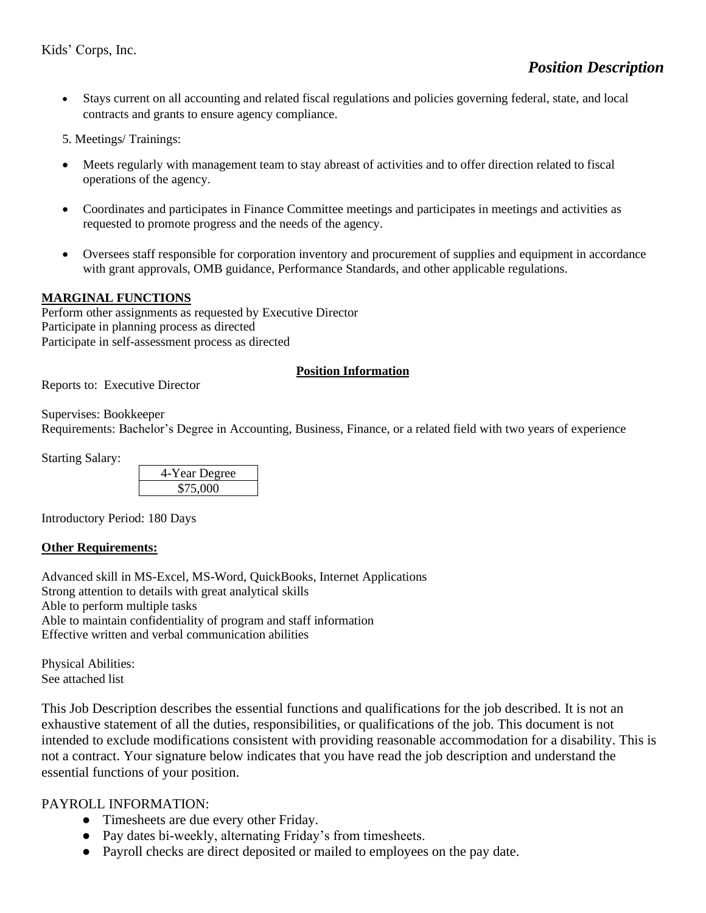• Stays current on all accounting and related fiscal regulations and policies governing federal, state, and local contracts and grants to ensure agency compliance.

5. Meetings/ Trainings:

- Meets regularly with management team to stay abreast of activities and to offer direction related to fiscal operations of the agency.
- Coordinates and participates in Finance Committee meetings and participates in meetings and activities as requested to promote progress and the needs of the agency.
- Oversees staff responsible for corporation inventory and procurement of supplies and equipment in accordance with grant approvals, OMB guidance, Performance Standards, and other applicable regulations.

## **MARGINAL FUNCTIONS**

Perform other assignments as requested by Executive Director Participate in planning process as directed Participate in self-assessment process as directed

## **Position Information**

Reports to: Executive Director

Supervises: Bookkeeper Requirements: Bachelor's Degree in Accounting, Business, Finance, or a related field with two years of experience

Starting Salary:

| 4-Year Degree |  |
|---------------|--|
| \$75,000      |  |

Introductory Period: 180 Days

## **Other Requirements:**

Advanced skill in MS-Excel, MS-Word, QuickBooks, Internet Applications Strong attention to details with great analytical skills Able to perform multiple tasks Able to maintain confidentiality of program and staff information Effective written and verbal communication abilities

Physical Abilities: See attached list

This Job Description describes the essential functions and qualifications for the job described. It is not an exhaustive statement of all the duties, responsibilities, or qualifications of the job. This document is not intended to exclude modifications consistent with providing reasonable accommodation for a disability. This is not a contract. Your signature below indicates that you have read the job description and understand the essential functions of your position.

## PAYROLL INFORMATION:

- Timesheets are due every other Friday.
- Pay dates bi-weekly, alternating Friday's from timesheets.
- Payroll checks are direct deposited or mailed to employees on the pay date.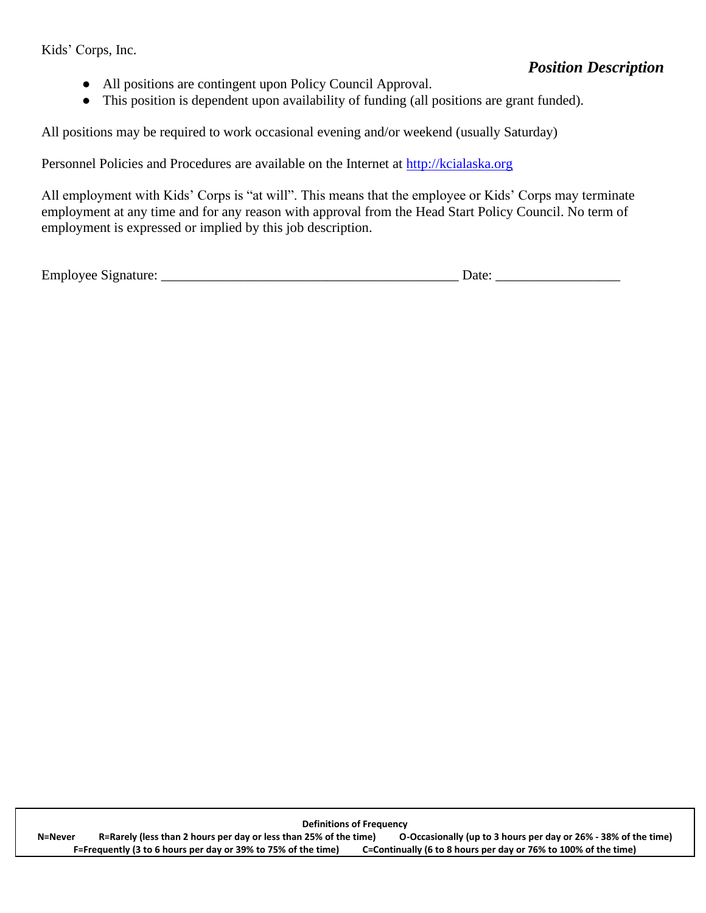Kids' Corps, Inc.

# *Position Description*

- All positions are contingent upon Policy Council Approval.
- This position is dependent upon availability of funding (all positions are grant funded).

All positions may be required to work occasional evening and/or weekend (usually Saturday)

Personnel Policies and Procedures are available on the Internet at [http://kcialaska.org](http://kcialaska.org/)

All employment with Kids' Corps is "at will". This means that the employee or Kids' Corps may terminate employment at any time and for any reason with approval from the Head Start Policy Council. No term of employment is expressed or implied by this job description.

Employee Signature: \_\_\_\_\_\_\_\_\_\_\_\_\_\_\_\_\_\_\_\_\_\_\_\_\_\_\_\_\_\_\_\_\_\_\_\_\_\_\_\_\_\_\_ Date: \_\_\_\_\_\_\_\_\_\_\_\_\_\_\_\_\_\_

**Definitions of Frequency N=Never R=Rarely (less than 2 hours per day or less than 25% of the time) O-Occasionally (up to 3 hours per day or 26% - 38% of the time) F=Frequently (3 to 6 hours per day or 39% to 75% of the time) C=Continually (6 to 8 hours per day or 76% to 100% of the time)**